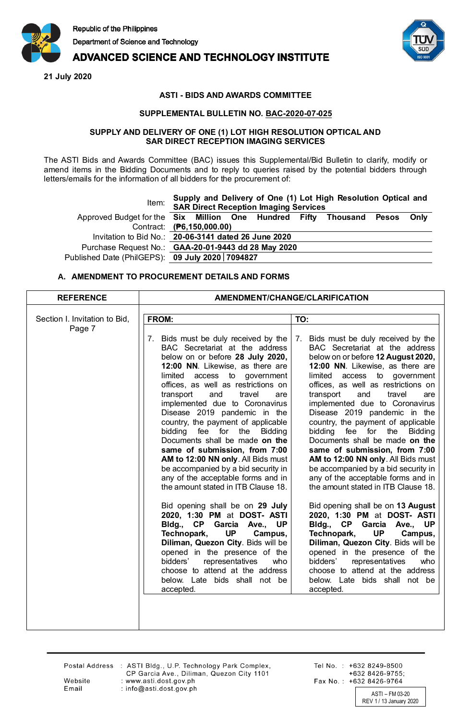

# **ADVANCED SCIENCE AND TECHNOLOGY INSTITUTE**

**21 July 2020**



## **ASTI - BIDS AND AWARDS COMMITTEE**

### **SUPPLEMENTAL BULLETIN NO. BAC-2020-07-025**

#### **SUPPLY AND DELIVERY OF ONE (1) LOT HIGH RESOLUTION OPTICAL AND SAR DIRECT RECEPTION IMAGING SERVICES**

The ASTI Bids and Awards Committee (BAC) issues this Supplemental/Bid Bulletin to clarify, modify or amend items in the Bidding Documents and to reply to queries raised by the potential bidders through letters/emails for the information of all bidders for the procurement of:

| Item:                                                                     |  | <b>SAR Direct Reception Imaging Services</b> | Supply and Delivery of One (1) Lot High Resolution Optical and |  |
|---------------------------------------------------------------------------|--|----------------------------------------------|----------------------------------------------------------------|--|
| Approved Budget for the Six Million One Hundred Fifty Thousand Pesos Only |  |                                              |                                                                |  |
| Contract: (P6,150,000.00)                                                 |  |                                              |                                                                |  |
| Invitation to Bid No.: 20-06-3141 dated 26 June 2020                      |  |                                              |                                                                |  |
| Purchase Request No.: GAA-20-01-9443 dd 28 May 2020                       |  |                                              |                                                                |  |
| Published Date (PhilGEPS): 09 July 2020   7094827                         |  |                                              |                                                                |  |

### **A. AMENDMENT TO PROCUREMENT DETAILS AND FORMS**

Postal Address : ASTI Bldg., U.P. Technology Park Complex, CP Garcia Ave., Diliman, Quezon City 1101 : www.asti.dost.gov.ph : info@asti.dost.gov.ph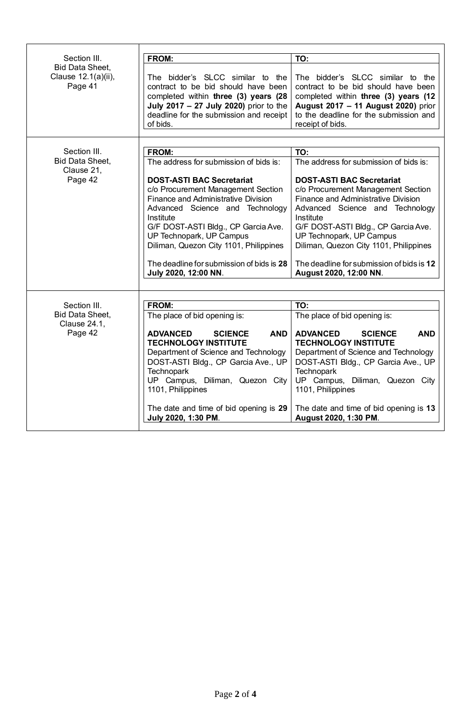| Section III.                                             | FROM:                                                                                                                                                                                                                                                                                                                                           | TO:                                                                                                                                                                                                                                                                                                                                               |  |  |
|----------------------------------------------------------|-------------------------------------------------------------------------------------------------------------------------------------------------------------------------------------------------------------------------------------------------------------------------------------------------------------------------------------------------|---------------------------------------------------------------------------------------------------------------------------------------------------------------------------------------------------------------------------------------------------------------------------------------------------------------------------------------------------|--|--|
| <b>Bid Data Sheet,</b><br>Clause 12.1(a)(ii),<br>Page 41 | The bidder's SLCC similar to the<br>contract to be bid should have been<br>completed within three (3) years (28<br>July 2017 - 27 July 2020) prior to the<br>deadline for the submission and receipt<br>of bids.                                                                                                                                | The bidder's SLCC similar to the<br>contract to be bid should have been<br>completed within three (3) years (12<br>August 2017 - 11 August 2020) prior<br>to the deadline for the submission and<br>receipt of bids.                                                                                                                              |  |  |
|                                                          |                                                                                                                                                                                                                                                                                                                                                 |                                                                                                                                                                                                                                                                                                                                                   |  |  |
| Section III.                                             | <b>FROM:</b>                                                                                                                                                                                                                                                                                                                                    | TO:                                                                                                                                                                                                                                                                                                                                               |  |  |
| <b>Bid Data Sheet,</b>                                   | The address for submission of bids is:                                                                                                                                                                                                                                                                                                          | The address for submission of bids is:                                                                                                                                                                                                                                                                                                            |  |  |
| Clause 21,<br>Page 42                                    | <b>DOST-ASTI BAC Secretariat</b><br>c/o Procurement Management Section<br>Finance and Administrative Division<br>Advanced Science and Technology<br>Institute<br>G/F DOST-ASTI Bldg., CP Garcia Ave.<br>UP Technopark, UP Campus<br>Diliman, Quezon City 1101, Philippines<br>The deadline for submission of bids is 28<br>July 2020, 12:00 NN. | <b>DOST-ASTI BAC Secretariat</b><br>c/o Procurement Management Section<br>Finance and Administrative Division<br>Advanced Science and Technology<br>Institute<br>G/F DOST-ASTI Bldg., CP Garcia Ave.<br>UP Technopark, UP Campus<br>Diliman, Quezon City 1101, Philippines<br>The deadline for submission of bids is 12<br>August 2020, 12:00 NN. |  |  |
|                                                          |                                                                                                                                                                                                                                                                                                                                                 |                                                                                                                                                                                                                                                                                                                                                   |  |  |
| Section III.                                             | <b>FROM:</b>                                                                                                                                                                                                                                                                                                                                    | TO:                                                                                                                                                                                                                                                                                                                                               |  |  |
| <b>Bid Data Sheet,</b>                                   | The place of bid opening is:                                                                                                                                                                                                                                                                                                                    | The place of bid opening is:                                                                                                                                                                                                                                                                                                                      |  |  |
| Clause 24.1,                                             |                                                                                                                                                                                                                                                                                                                                                 |                                                                                                                                                                                                                                                                                                                                                   |  |  |
| Page 42                                                  | <b>ADVANCED</b><br><b>SCIENCE</b><br><b>AND</b><br><b>TECHNOLOGY INSTITUTE</b><br>Department of Science and Technology<br>DOST-ASTI Bldg., CP Garcia Ave., UP<br><b>Technopark</b><br>UP Campus, Diliman, Quezon City<br>1101, Philippines<br>The date and time of bid opening is 29<br>July 2020, 1:30 PM.                                     | <b>ADVANCED</b><br><b>AND</b><br><b>SCIENCE</b><br><b>TECHNOLOGY INSTITUTE</b><br>Department of Science and Technology<br>DOST-ASTI Bldg., CP Garcia Ave., UP<br><b>Technopark</b><br>UP Campus, Diliman, Quezon City<br>1101, Philippines<br>The date and time of bid opening is 13<br>August 2020, 1:30 PM.                                     |  |  |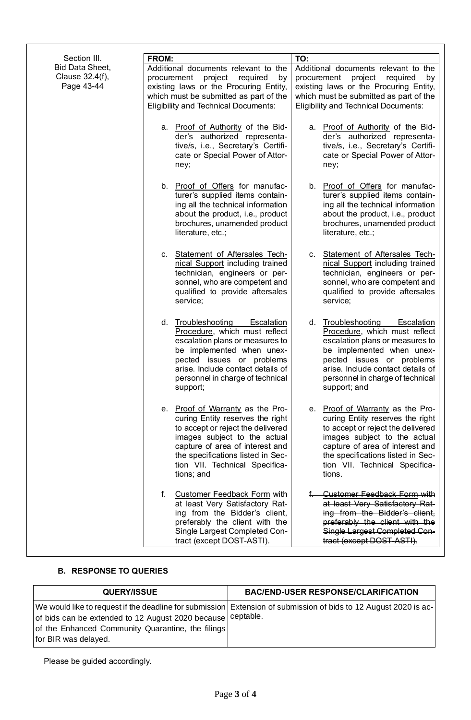| Section III.                                     | FROM:                                                                                                                                                                                                                                                             | TO:                                                                                                                                                                                                                                                            |
|--------------------------------------------------|-------------------------------------------------------------------------------------------------------------------------------------------------------------------------------------------------------------------------------------------------------------------|----------------------------------------------------------------------------------------------------------------------------------------------------------------------------------------------------------------------------------------------------------------|
| Bid Data Sheet,<br>Clause 32.4(f),<br>Page 43-44 | Additional documents relevant to the<br>project<br>procurement<br>required<br>by<br>existing laws or the Procuring Entity,<br>which must be submitted as part of the<br><b>Eligibility and Technical Documents:</b>                                               | Additional documents relevant to the<br>project<br>procurement<br>required<br>by<br>existing laws or the Procuring Entity,<br>which must be submitted as part of the<br><b>Eligibility and Technical Documents:</b>                                            |
|                                                  | a. Proof of Authority of the Bid-<br>der's authorized representa-<br>tive/s, i.e., Secretary's Certifi-<br>cate or Special Power of Attor-<br>ney;                                                                                                                | a. Proof of Authority of the Bid-<br>der's authorized representa-<br>tive/s, i.e., Secretary's Certifi-<br>cate or Special Power of Attor-<br>ney;                                                                                                             |
|                                                  | b. Proof of Offers for manufac-<br>turer's supplied items contain-<br>ing all the technical information<br>about the product, i.e., product<br>brochures, unamended product<br>literature, etc.;                                                                  | b. Proof of Offers for manufac-<br>turer's supplied items contain-<br>ing all the technical information<br>about the product, i.e., product<br>brochures, unamended product<br>literature, etc.;                                                               |
|                                                  | c. Statement of Aftersales Tech-<br>nical Support including trained<br>technician, engineers or per-<br>sonnel, who are competent and<br>qualified to provide aftersales<br>service;                                                                              | c. Statement of Aftersales Tech-<br>nical Support including trained<br>technician, engineers or per-<br>sonnel, who are competent and<br>qualified to provide aftersales<br>service;                                                                           |
|                                                  | d. Troubleshooting<br><b>Escalation</b><br>Procedure, which must reflect<br>escalation plans or measures to<br>be implemented when unex-<br>pected issues or problems<br>arise. Include contact details of<br>personnel in charge of technical<br>support;        | d. Troubleshooting<br><b>Escalation</b><br>Procedure, which must reflect<br>escalation plans or measures to<br>be implemented when unex-<br>pected issues or problems<br>arise. Include contact details of<br>personnel in charge of technical<br>support; and |
|                                                  | e. Proof of Warranty as the Pro-<br>curing Entity reserves the right<br>to accept or reject the delivered<br>images subject to the actual<br>capture of area of interest and<br>the specifications listed in Sec-<br>tion VII. Technical Specifica-<br>tions; and | e. Proof of Warranty as the Pro-<br>curing Entity reserves the right<br>to accept or reject the delivered<br>images subject to the actual<br>capture of area of interest and<br>the specifications listed in Sec-<br>tion VII. Technical Specifica-<br>tions.  |
|                                                  | f.<br><b>Customer Feedback Form with</b><br>at least Very Satisfactory Rat-<br>ing from the Bidder's client,<br>preferably the client with the<br>Single Largest Completed Con-<br>tract (except DOST-ASTI).                                                      | <b>Customer Feedback Form with</b><br>at least Very Satisfactory Rat-<br>ing from the Bidder's client,<br>preferably the client with the<br>Single Largest Completed Con-<br>tract (except DOST-ASTI).                                                         |

# **B. RESPONSE TO QUERIES**

| <b>QUERY/ISSUE</b>                                                                                                                       | <b>BAC/END-USER RESPONSE/CLARIFICATION</b>                                                                         |
|------------------------------------------------------------------------------------------------------------------------------------------|--------------------------------------------------------------------------------------------------------------------|
| of bids can be extended to 12 August 2020 because ceptable.<br>of the Enhanced Community Quarantine, the filings<br>for BIR was delayed. | We would like to request if the deadline for submission   Extension of submission of bids to 12 August 2020 is ac- |

Please be guided accordingly.